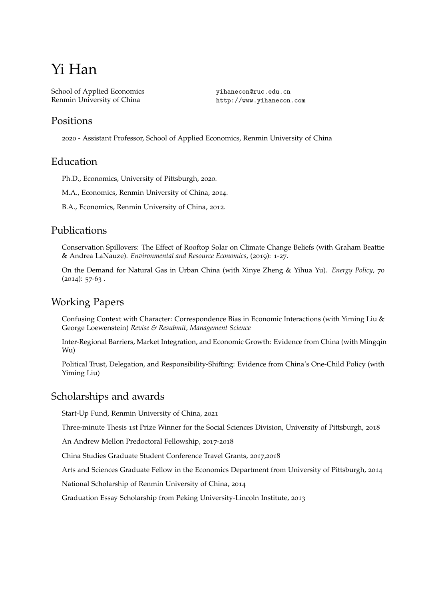# Yi Han

School of Applied Economics Renmin University of China

yihanecon@ruc.edu.cn http://www.yihanecon.com

#### Positions

2020 - Assistant Professor, School of Applied Economics, Renmin University of China

## Education

Ph.D., Economics, University of Pittsburgh, 2020.

M.A., Economics, Renmin University of China, 2014.

B.A., Economics, Renmin University of China, 2012.

## Publications

Conservation Spillovers: The Effect of Rooftop Solar on Climate Change Beliefs (with Graham Beattie & Andrea LaNauze). *Environmental and Resource Economics*, (2019): 1-27.

On the Demand for Natural Gas in Urban China (with Xinye Zheng & Yihua Yu). *Energy Policy*, 70  $(2014): 57-63.$ 

# Working Papers

Confusing Context with Character: Correspondence Bias in Economic Interactions (with Yiming Liu & George Loewenstein) *Revise & Resubmit, Management Science*

Inter-Regional Barriers, Market Integration, and Economic Growth: Evidence from China (with Mingqin Wu)

Political Trust, Delegation, and Responsibility-Shifting: Evidence from China's One-Child Policy (with Yiming Liu)

# Scholarships and awards

Start-Up Fund, Renmin University of China, 2021

Three-minute Thesis 1st Prize Winner for the Social Sciences Division, University of Pittsburgh, 2018

An Andrew Mellon Predoctoral Fellowship, 2017-2018

China Studies Graduate Student Conference Travel Grants, 2017,2018

Arts and Sciences Graduate Fellow in the Economics Department from University of Pittsburgh, 2014

National Scholarship of Renmin University of China, 2014

Graduation Essay Scholarship from Peking University-Lincoln Institute, 2013